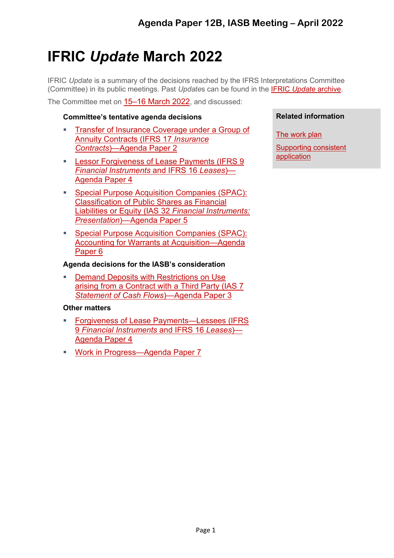# **IFRIC** *Update* **March 2022**

IFRIC *Update* is a summary of the decisions reached by the IFRS Interpretations Committee (Committee) in its public meetings. Past *Update*s can be found in the IFRIC *Update* [archive.](https://www.ifrs.org/news-and-events/updates/ifric/)

The Committee met on 15–16 [March 2022,](https://www.ifrs.org/news-and-events/calendar/2022/march/ifrs-interpretations-committee/) and discussed:

# **[Committee's tentative agenda decisions](#page-1-0)**

- Transfer [of Insurance Coverage](#page-1-1) under a Group of [Annuity Contracts](#page-1-1) (IFRS 17 *Insurance Contracts*[\)—Agenda Paper 2](#page-1-1)
- **[Lessor Forgiveness of Lease Payments](#page-4-0) (IFRS 9** *[Financial Instruments](#page-4-0)* and IFRS 16 *Leases*)— [Agenda Paper 4](#page-4-0)
- [Special Purpose Acquisition Companies \(SPAC\):](#page-6-0) [Classification of Public Shares as Financial](#page-6-0) [Liabilities or Equity \(IAS 32](#page-6-0) *Financial Instruments: Presentation*[\)—Agenda Paper 5](#page-6-0)
- [Special Purpose Acquisition Companies \(SPAC\):](#page-7-0) [Accounting for Warrants at Acquisition—Agenda](#page-7-0) [Paper 6](#page-7-0)

# **[Agenda decisions for the IASB's consideration](#page-11-0)**

 [Demand Deposits with](#page-11-1) Restrictions on Use [arising from a Contract with a Third Party \(IAS 7](#page-11-1) *[Statement of Cash Flows](#page-11-1)*)—Agenda Paper 3

# **[Other matters](#page-11-2)**

- [Forgiveness of Lease Payments—Lessees](#page-11-3) (IFRS 9 *[Financial Instruments](#page-11-3)* and IFRS 16 *Leases*)— [Agenda Paper 4](#page-11-3)
- [Work in Progress—Agenda Paper 7](#page-11-3)

# **Related information**

[The work plan](https://www.ifrs.org/projects/work-plan/)

[Supporting consistent](https://www.ifrs.org/supporting-implementation/how-we-help-support-consistent-application/)  [application](https://www.ifrs.org/supporting-implementation/how-we-help-support-consistent-application/)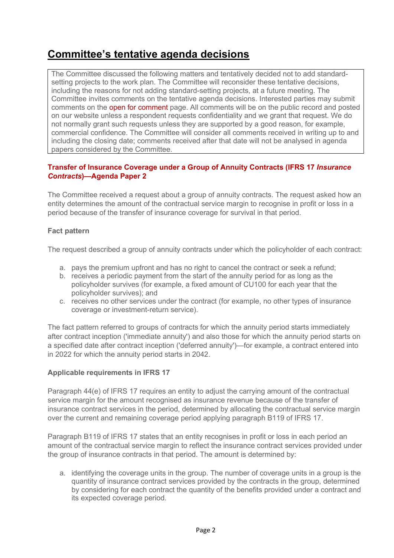# <span id="page-1-0"></span>**Committee's tentative agenda decisions**

The Committee discussed the following matters and tentatively decided not to add standardsetting projects to the work plan. The Committee will reconsider these tentative decisions, including the reasons for not adding standard-setting projects, at a future meeting. The Committee invites comments on the tentative agenda decisions. Interested parties may submit comments on the open for [comment](https://www.ifrs.org/projects/open-for-comment/) page. All comments will be on the public record and posted on our website unless a respondent requests confidentiality and we grant that request. We do not normally grant such requests unless they are supported by a good reason, for example, commercial confidence. The Committee will consider all comments received in writing up to and including the closing date; comments received after that date will not be analysed in agenda papers considered by the Committee.

# <span id="page-1-1"></span>**Transfer of Insurance Coverage under a Group of Annuity Contracts (IFRS 17** *Insurance Contracts***)—Agenda Paper 2**

The Committee received a request about a group of annuity contracts. The request asked how an entity determines the amount of the contractual service margin to recognise in profit or loss in a period because of the transfer of insurance coverage for survival in that period.

# **Fact pattern**

The request described a group of annuity contracts under which the policyholder of each contract:

- a. pays the premium upfront and has no right to cancel the contract or seek a refund;
- b. receives a periodic payment from the start of the annuity period for as long as the policyholder survives (for example, a fixed amount of CU100 for each year that the policyholder survives); and
- c. receives no other services under the contract (for example, no other types of insurance coverage or investment-return service).

The fact pattern referred to groups of contracts for which the annuity period starts immediately after contract inception ('immediate annuity') and also those for which the annuity period starts on a specified date after contract inception ('deferred annuity')—for example, a contract entered into in 2022 for which the annuity period starts in 2042.

#### **Applicable requirements in IFRS 17**

Paragraph 44(e) of IFRS 17 requires an entity to adjust the carrying amount of the contractual service margin for the amount recognised as insurance revenue because of the transfer of insurance contract services in the period, determined by allocating the contractual service margin over the current and remaining coverage period applying paragraph B119 of IFRS 17.

Paragraph B119 of IFRS 17 states that an entity recognises in profit or loss in each period an amount of the contractual service margin to reflect the insurance contract services provided under the group of insurance contracts in that period. The amount is determined by:

a. identifying the coverage units in the group. The number of coverage units in a group is the quantity of insurance contract services provided by the contracts in the group, determined by considering for each contract the quantity of the benefits provided under a contract and its expected coverage period.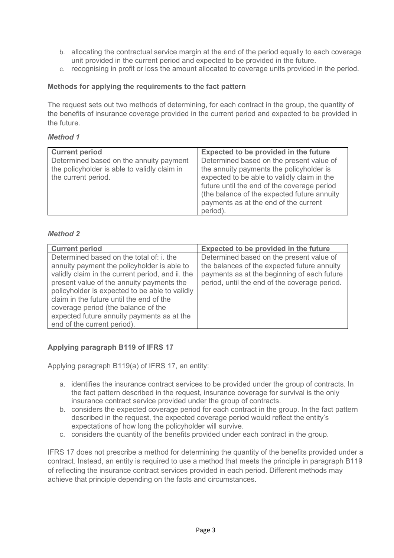- b. allocating the contractual service margin at the end of the period equally to each coverage unit provided in the current period and expected to be provided in the future.
- c. recognising in profit or loss the amount allocated to coverage units provided in the period.

#### **Methods for applying the requirements to the fact pattern**

The request sets out two methods of determining, for each contract in the group, the quantity of the benefits of insurance coverage provided in the current period and expected to be provided in the future.

#### *Method 1*

| <b>Current period</b>                                                                                          | Expected to be provided in the future                                                                                                                                                                                                                                                   |
|----------------------------------------------------------------------------------------------------------------|-----------------------------------------------------------------------------------------------------------------------------------------------------------------------------------------------------------------------------------------------------------------------------------------|
| Determined based on the annuity payment<br>the policyholder is able to validly claim in<br>the current period. | Determined based on the present value of<br>the annuity payments the policyholder is<br>expected to be able to validly claim in the<br>future until the end of the coverage period<br>(the balance of the expected future annuity)<br>payments as at the end of the current<br>period). |

#### *Method 2*

| <b>Current period</b>                                                                                                                                                                                                                                                                                                                                                                                      | Expected to be provided in the future                                                                                                                                                   |
|------------------------------------------------------------------------------------------------------------------------------------------------------------------------------------------------------------------------------------------------------------------------------------------------------------------------------------------------------------------------------------------------------------|-----------------------------------------------------------------------------------------------------------------------------------------------------------------------------------------|
| Determined based on the total of: i. the<br>annuity payment the policyholder is able to<br>validly claim in the current period, and ii. the<br>present value of the annuity payments the<br>policyholder is expected to be able to validly<br>claim in the future until the end of the<br>coverage period (the balance of the<br>expected future annuity payments as at the<br>end of the current period). | Determined based on the present value of<br>the balances of the expected future annuity<br>payments as at the beginning of each future<br>period, until the end of the coverage period. |

# **Applying paragraph B119 of IFRS 17**

Applying paragraph B119(a) of IFRS 17, an entity:

- a. identifies the insurance contract services to be provided under the group of contracts. In the fact pattern described in the request, insurance coverage for survival is the only insurance contract service provided under the group of contracts.
- b. considers the expected coverage period for each contract in the group. In the fact pattern described in the request, the expected coverage period would reflect the entity's expectations of how long the policyholder will survive.
- c. considers the quantity of the benefits provided under each contract in the group.

IFRS 17 does not prescribe a method for determining the quantity of the benefits provided under a contract. Instead, an entity is required to use a method that meets the principle in paragraph B119 of reflecting the insurance contract services provided in each period. Different methods may achieve that principle depending on the facts and circumstances.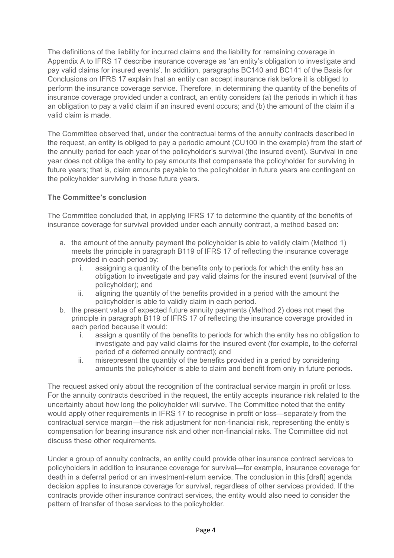The definitions of the liability for incurred claims and the liability for remaining coverage in Appendix A to IFRS 17 describe insurance coverage as 'an entity's obligation to investigate and pay valid claims for insured events'. In addition, paragraphs BC140 and BC141 of the Basis for Conclusions on IFRS 17 explain that an entity can accept insurance risk before it is obliged to perform the insurance coverage service. Therefore, in determining the quantity of the benefits of insurance coverage provided under a contract, an entity considers (a) the periods in which it has an obligation to pay a valid claim if an insured event occurs; and (b) the amount of the claim if a valid claim is made.

The Committee observed that, under the contractual terms of the annuity contracts described in the request, an entity is obliged to pay a periodic amount (CU100 in the example) from the start of the annuity period for each year of the policyholder's survival (the insured event). Survival in one year does not oblige the entity to pay amounts that compensate the policyholder for surviving in future years; that is, claim amounts payable to the policyholder in future years are contingent on the policyholder surviving in those future years.

# **The Committee's conclusion**

The Committee concluded that, in applying IFRS 17 to determine the quantity of the benefits of insurance coverage for survival provided under each annuity contract, a method based on:

- a. the amount of the annuity payment the policyholder is able to validly claim (Method 1) meets the principle in paragraph B119 of IFRS 17 of reflecting the insurance coverage provided in each period by:
	- i. assigning a quantity of the benefits only to periods for which the entity has an obligation to investigate and pay valid claims for the insured event (survival of the policyholder); and
	- ii. aligning the quantity of the benefits provided in a period with the amount the policyholder is able to validly claim in each period.
- b. the present value of expected future annuity payments (Method 2) does not meet the principle in paragraph B119 of IFRS 17 of reflecting the insurance coverage provided in each period because it would:
	- i. assign a quantity of the benefits to periods for which the entity has no obligation to investigate and pay valid claims for the insured event (for example, to the deferral period of a deferred annuity contract); and
	- ii. misrepresent the quantity of the benefits provided in a period by considering amounts the policyholder is able to claim and benefit from only in future periods.

The request asked only about the recognition of the contractual service margin in profit or loss. For the annuity contracts described in the request, the entity accepts insurance risk related to the uncertainty about how long the policyholder will survive. The Committee noted that the entity would apply other requirements in IFRS 17 to recognise in profit or loss—separately from the contractual service margin—the risk adjustment for non-financial risk, representing the entity's compensation for bearing insurance risk and other non-financial risks. The Committee did not discuss these other requirements.

Under a group of annuity contracts, an entity could provide other insurance contract services to policyholders in addition to insurance coverage for survival—for example, insurance coverage for death in a deferral period or an investment-return service. The conclusion in this [draft] agenda decision applies to insurance coverage for survival, regardless of other services provided. If the contracts provide other insurance contract services, the entity would also need to consider the pattern of transfer of those services to the policyholder.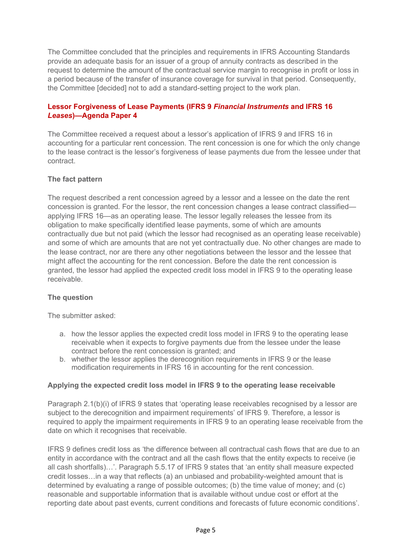The Committee concluded that the principles and requirements in IFRS Accounting Standards provide an adequate basis for an issuer of a group of annuity contracts as described in the request to determine the amount of the contractual service margin to recognise in profit or loss in a period because of the transfer of insurance coverage for survival in that period. Consequently, the Committee [decided] not to add a standard-setting project to the work plan.

# <span id="page-4-0"></span>**Lessor Forgiveness of Lease Payments (IFRS 9** *Financial Instruments* **and IFRS 16**  *Leases***)—Agenda Paper 4**

The Committee received a request about a lessor's application of IFRS 9 and IFRS 16 in accounting for a particular rent concession. The rent concession is one for which the only change to the lease contract is the lessor's forgiveness of lease payments due from the lessee under that contract.

# **The fact pattern**

The request described a rent concession agreed by a lessor and a lessee on the date the rent concession is granted. For the lessor, the rent concession changes a lease contract classified applying IFRS 16—as an operating lease. The lessor legally releases the lessee from its obligation to make specifically identified lease payments, some of which are amounts contractually due but not paid (which the lessor had recognised as an operating lease receivable) and some of which are amounts that are not yet contractually due. No other changes are made to the lease contract, nor are there any other negotiations between the lessor and the lessee that might affect the accounting for the rent concession. Before the date the rent concession is granted, the lessor had applied the expected credit loss model in IFRS 9 to the operating lease receivable.

#### **The question**

The submitter asked:

- a. how the lessor applies the expected credit loss model in IFRS 9 to the operating lease receivable when it expects to forgive payments due from the lessee under the lease contract before the rent concession is granted; and
- b. whether the lessor applies the derecognition requirements in IFRS 9 or the lease modification requirements in IFRS 16 in accounting for the rent concession.

#### **Applying the expected credit loss model in IFRS 9 to the operating lease receivable**

Paragraph 2.1(b)(i) of IFRS 9 states that 'operating lease receivables recognised by a lessor are subject to the derecognition and impairment requirements' of IFRS 9. Therefore, a lessor is required to apply the impairment requirements in IFRS 9 to an operating lease receivable from the date on which it recognises that receivable.

IFRS 9 defines credit loss as 'the difference between all contractual cash flows that are due to an entity in accordance with the contract and all the cash flows that the entity expects to receive (ie all cash shortfalls)…'. Paragraph 5.5.17 of IFRS 9 states that 'an entity shall measure expected credit losses…in a way that reflects (a) an unbiased and probability-weighted amount that is determined by evaluating a range of possible outcomes; (b) the time value of money; and (c) reasonable and supportable information that is available without undue cost or effort at the reporting date about past events, current conditions and forecasts of future economic conditions'.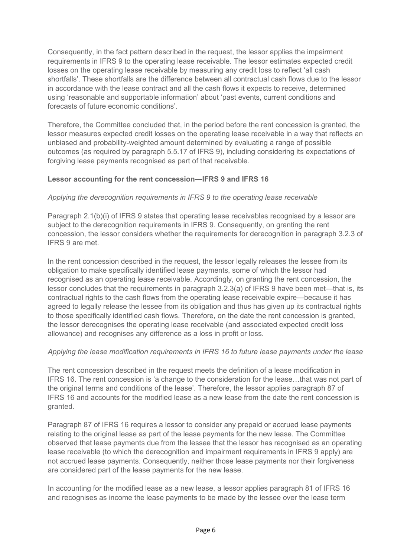Consequently, in the fact pattern described in the request, the lessor applies the impairment requirements in IFRS 9 to the operating lease receivable. The lessor estimates expected credit losses on the operating lease receivable by measuring any credit loss to reflect 'all cash shortfalls'. These shortfalls are the difference between all contractual cash flows due to the lessor in accordance with the lease contract and all the cash flows it expects to receive, determined using 'reasonable and supportable information' about 'past events, current conditions and forecasts of future economic conditions'.

Therefore, the Committee concluded that, in the period before the rent concession is granted, the lessor measures expected credit losses on the operating lease receivable in a way that reflects an unbiased and probability-weighted amount determined by evaluating a range of possible outcomes (as required by paragraph 5.5.17 of IFRS 9), including considering its expectations of forgiving lease payments recognised as part of that receivable.

# **Lessor accounting for the rent concession—IFRS 9 and IFRS 16**

# *Applying the derecognition requirements in IFRS 9 to the operating lease receivable*

Paragraph 2.1(b)(i) of IFRS 9 states that operating lease receivables recognised by a lessor are subject to the derecognition requirements in IFRS 9. Consequently, on granting the rent concession, the lessor considers whether the requirements for derecognition in paragraph 3.2.3 of IFRS 9 are met.

In the rent concession described in the request, the lessor legally releases the lessee from its obligation to make specifically identified lease payments, some of which the lessor had recognised as an operating lease receivable. Accordingly, on granting the rent concession, the lessor concludes that the requirements in paragraph 3.2.3(a) of IFRS 9 have been met—that is, its contractual rights to the cash flows from the operating lease receivable expire—because it has agreed to legally release the lessee from its obligation and thus has given up its contractual rights to those specifically identified cash flows. Therefore, on the date the rent concession is granted, the lessor derecognises the operating lease receivable (and associated expected credit loss allowance) and recognises any difference as a loss in profit or loss.

#### *Applying the lease modification requirements in IFRS 16 to future lease payments under the lease*

The rent concession described in the request meets the definition of a lease modification in IFRS 16. The rent concession is 'a change to the consideration for the lease…that was not part of the original terms and conditions of the lease'. Therefore, the lessor applies paragraph 87 of IFRS 16 and accounts for the modified lease as a new lease from the date the rent concession is granted.

Paragraph 87 of IFRS 16 requires a lessor to consider any prepaid or accrued lease payments relating to the original lease as part of the lease payments for the new lease. The Committee observed that lease payments due from the lessee that the lessor has recognised as an operating lease receivable (to which the derecognition and impairment requirements in IFRS 9 apply) are not accrued lease payments. Consequently, neither those lease payments nor their forgiveness are considered part of the lease payments for the new lease.

In accounting for the modified lease as a new lease, a lessor applies paragraph 81 of IFRS 16 and recognises as income the lease payments to be made by the lessee over the lease term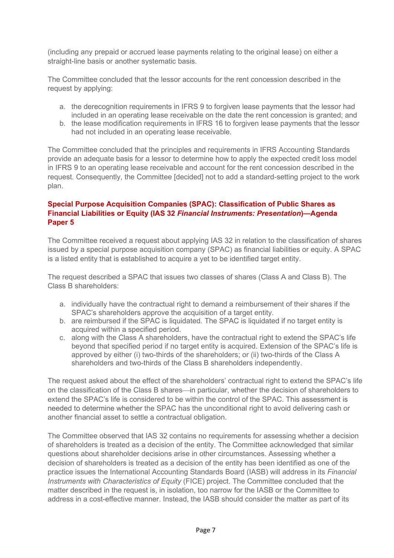(including any prepaid or accrued lease payments relating to the original lease) on either a straight-line basis or another systematic basis.

The Committee concluded that the lessor accounts for the rent concession described in the request by applying:

- a. the derecognition requirements in IFRS 9 to forgiven lease payments that the lessor had included in an operating lease receivable on the date the rent concession is granted; and
- b. the lease modification requirements in IFRS 16 to forgiven lease payments that the lessor had not included in an operating lease receivable.

The Committee concluded that the principles and requirements in IFRS Accounting Standards provide an adequate basis for a lessor to determine how to apply the expected credit loss model in IFRS 9 to an operating lease receivable and account for the rent concession described in the request. Consequently, the Committee [decided] not to add a standard-setting project to the work plan.

# <span id="page-6-0"></span>**Special Purpose Acquisition Companies (SPAC): Classification of Public Shares as Financial Liabilities or Equity (IAS 32** *Financial Instruments: Presentation***)—Agenda Paper 5**

The Committee received a request about applying IAS 32 in relation to the classification of shares issued by a special purpose acquisition company (SPAC) as financial liabilities or equity. A SPAC is a listed entity that is established to acquire a yet to be identified target entity.

The request described a SPAC that issues two classes of shares (Class A and Class B). The Class B shareholders:

- a. individually have the contractual right to demand a reimbursement of their shares if the SPAC's shareholders approve the acquisition of a target entity.
- b. are reimbursed if the SPAC is liquidated. The SPAC is liquidated if no target entity is acquired within a specified period.
- c. along with the Class A shareholders, have the contractual right to extend the SPAC's life beyond that specified period if no target entity is acquired. Extension of the SPAC's life is approved by either (i) two-thirds of the shareholders; or (ii) two-thirds of the Class A shareholders and two-thirds of the Class B shareholders independently.

The request asked about the effect of the shareholders' contractual right to extend the SPAC's life on the classification of the Class B shares—in particular, whether the decision of shareholders to extend the SPAC's life is considered to be within the control of the SPAC. This assessment is needed to determine whether the SPAC has the unconditional right to avoid delivering cash or another financial asset to settle a contractual obligation.

The Committee observed that IAS 32 contains no requirements for assessing whether a decision of shareholders is treated as a decision of the entity. The Committee acknowledged that similar questions about shareholder decisions arise in other circumstances. Assessing whether a decision of shareholders is treated as a decision of the entity has been identified as one of the practice issues the International Accounting Standards Board (IASB) will address in its *Financial Instruments with Characteristics of Equity* (FICE) project. The Committee concluded that the matter described in the request is, in isolation, too narrow for the IASB or the Committee to address in a cost-effective manner. Instead, the IASB should consider the matter as part of its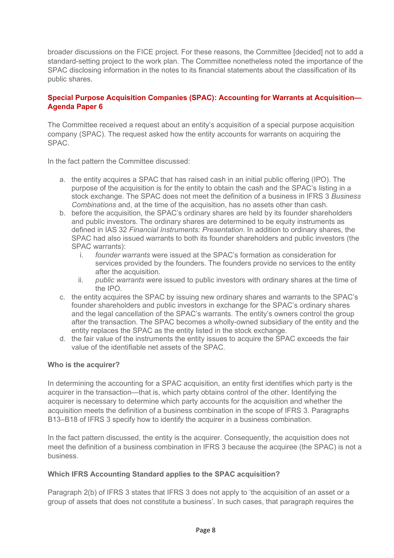broader discussions on the FICE project. For these reasons, the Committee [decided] not to add a standard-setting project to the work plan. The Committee nonetheless noted the importance of the SPAC disclosing information in the notes to its financial statements about the classification of its public shares.

### <span id="page-7-0"></span>**Special Purpose Acquisition Companies (SPAC): Accounting for Warrants at Acquisition— Agenda Paper 6**

The Committee received a request about an entity's acquisition of a special purpose acquisition company (SPAC). The request asked how the entity accounts for warrants on acquiring the SPAC.

In the fact pattern the Committee discussed:

- a. the entity acquires a SPAC that has raised cash in an initial public offering (IPO). The purpose of the acquisition is for the entity to obtain the cash and the SPAC's listing in a stock exchange. The SPAC does not meet the definition of a business in IFRS 3 *Business Combinations* and, at the time of the acquisition, has no assets other than cash.
- b. before the acquisition, the SPAC's ordinary shares are held by its founder shareholders and public investors. The ordinary shares are determined to be equity instruments as defined in IAS 32 *Financial Instruments: Presentation*. In addition to ordinary shares, the SPAC had also issued warrants to both its founder shareholders and public investors (the SPAC warrants):
	- i. *founder warrants* were issued at the SPAC's formation as consideration for services provided by the founders. The founders provide no services to the entity after the acquisition.
	- ii. *public warrants* were issued to public investors with ordinary shares at the time of the IPO.
- c. the entity acquires the SPAC by issuing new ordinary shares and warrants to the SPAC's founder shareholders and public investors in exchange for the SPAC's ordinary shares and the legal cancellation of the SPAC's warrants. The entity's owners control the group after the transaction. The SPAC becomes a wholly-owned subsidiary of the entity and the entity replaces the SPAC as the entity listed in the stock exchange.
- d. the fair value of the instruments the entity issues to acquire the SPAC exceeds the fair value of the identifiable net assets of the SPAC.

#### **Who is the acquirer?**

In determining the accounting for a SPAC acquisition, an entity first identifies which party is the acquirer in the transaction—that is, which party obtains control of the other. Identifying the acquirer is necessary to determine which party accounts for the acquisition and whether the acquisition meets the definition of a business combination in the scope of IFRS 3. Paragraphs B13–B18 of IFRS 3 specify how to identify the acquirer in a business combination.

In the fact pattern discussed, the entity is the acquirer. Consequently, the acquisition does not meet the definition of a business combination in IFRS 3 because the acquiree (the SPAC) is not a business.

#### **Which IFRS Accounting Standard applies to the SPAC acquisition?**

Paragraph 2(b) of IFRS 3 states that IFRS 3 does not apply to 'the acquisition of an asset or a group of assets that does not constitute a business'. In such cases, that paragraph requires the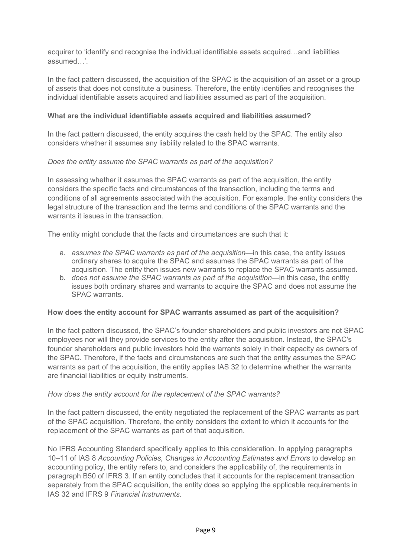acquirer to 'identify and recognise the individual identifiable assets acquired…and liabilities assumed…'.

In the fact pattern discussed, the acquisition of the SPAC is the acquisition of an asset or a group of assets that does not constitute a business. Therefore, the entity identifies and recognises the individual identifiable assets acquired and liabilities assumed as part of the acquisition.

#### **What are the individual identifiable assets acquired and liabilities assumed?**

In the fact pattern discussed, the entity acquires the cash held by the SPAC. The entity also considers whether it assumes any liability related to the SPAC warrants.

#### *Does the entity assume the SPAC warrants as part of the acquisition?*

In assessing whether it assumes the SPAC warrants as part of the acquisition, the entity considers the specific facts and circumstances of the transaction, including the terms and conditions of all agreements associated with the acquisition. For example, the entity considers the legal structure of the transaction and the terms and conditions of the SPAC warrants and the warrants it issues in the transaction.

The entity might conclude that the facts and circumstances are such that it:

- a. *assumes the SPAC warrants as part of the acquisition*—in this case, the entity issues ordinary shares to acquire the SPAC and assumes the SPAC warrants as part of the acquisition. The entity then issues new warrants to replace the SPAC warrants assumed.
- b. *does not assume the SPAC warrants as part of the acquisition*—in this case, the entity issues both ordinary shares and warrants to acquire the SPAC and does not assume the SPAC warrants.

#### **How does the entity account for SPAC warrants assumed as part of the acquisition?**

In the fact pattern discussed, the SPAC's founder shareholders and public investors are not SPAC employees nor will they provide services to the entity after the acquisition. Instead, the SPAC's founder shareholders and public investors hold the warrants solely in their capacity as owners of the SPAC. Therefore, if the facts and circumstances are such that the entity assumes the SPAC warrants as part of the acquisition, the entity applies IAS 32 to determine whether the warrants are financial liabilities or equity instruments.

#### *How does the entity account for the replacement of the SPAC warrants?*

In the fact pattern discussed, the entity negotiated the replacement of the SPAC warrants as part of the SPAC acquisition. Therefore, the entity considers the extent to which it accounts for the replacement of the SPAC warrants as part of that acquisition.

No IFRS Accounting Standard specifically applies to this consideration. In applying paragraphs 10–11 of IAS 8 *Accounting Policies, Changes in Accounting Estimates and Errors* to develop an accounting policy, the entity refers to, and considers the applicability of, the requirements in paragraph B50 of IFRS 3. If an entity concludes that it accounts for the replacement transaction separately from the SPAC acquisition, the entity does so applying the applicable requirements in IAS 32 and IFRS 9 *Financial Instruments*.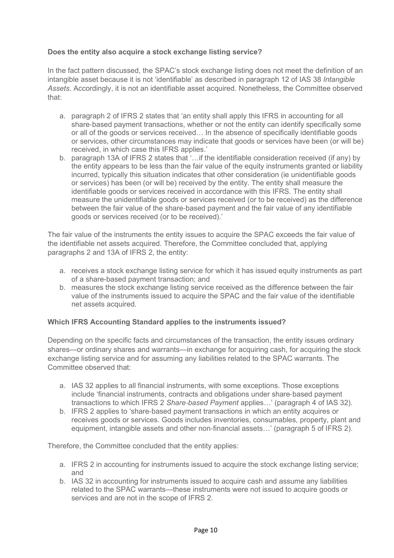# **Does the entity also acquire a stock exchange listing service?**

In the fact pattern discussed, the SPAC's stock exchange listing does not meet the definition of an intangible asset because it is not 'identifiable' as described in paragraph 12 of IAS 38 *Intangible Assets*. Accordingly, it is not an identifiable asset acquired. Nonetheless, the Committee observed that:

- a. paragraph 2 of IFRS 2 states that 'an entity shall apply this IFRS in accounting for all share‑based payment transactions, whether or not the entity can identify specifically some or all of the goods or services received… In the absence of specifically identifiable goods or services, other circumstances may indicate that goods or services have been (or will be) received, in which case this IFRS applies.'
- b. paragraph 13A of IFRS 2 states that '…if the identifiable consideration received (if any) by the entity appears to be less than the fair value of the equity instruments granted or liability incurred, typically this situation indicates that other consideration (ie unidentifiable goods or services) has been (or will be) received by the entity. The entity shall measure the identifiable goods or services received in accordance with this IFRS. The entity shall measure the unidentifiable goods or services received (or to be received) as the difference between the fair value of the share-based payment and the fair value of any identifiable goods or services received (or to be received).'

The fair value of the instruments the entity issues to acquire the SPAC exceeds the fair value of the identifiable net assets acquired. Therefore, the Committee concluded that, applying paragraphs 2 and 13A of IFRS 2, the entity:

- a. receives a stock exchange listing service for which it has issued equity instruments as part of a share-based payment transaction; and
- b. measures the stock exchange listing service received as the difference between the fair value of the instruments issued to acquire the SPAC and the fair value of the identifiable net assets acquired.

#### **Which IFRS Accounting Standard applies to the instruments issued?**

Depending on the specific facts and circumstances of the transaction, the entity issues ordinary shares—or ordinary shares and warrants—in exchange for acquiring cash, for acquiring the stock exchange listing service and for assuming any liabilities related to the SPAC warrants. The Committee observed that:

- a. IAS 32 applies to all financial instruments, with some exceptions. Those exceptions include 'financial instruments, contracts and obligations under share-based payment transactions to which IFRS 2 *Share*‑*based Payment* applies…' (paragraph 4 of IAS 32).
- b. IFRS 2 applies to 'share‑based payment transactions in which an entity acquires or receives goods or services. Goods includes inventories, consumables, property, plant and equipment, intangible assets and other non-financial assets...' (paragraph 5 of IFRS 2).

Therefore, the Committee concluded that the entity applies:

- a. IFRS 2 in accounting for instruments issued to acquire the stock exchange listing service; and
- b. IAS 32 in accounting for instruments issued to acquire cash and assume any liabilities related to the SPAC warrants—these instruments were not issued to acquire goods or services and are not in the scope of IFRS 2.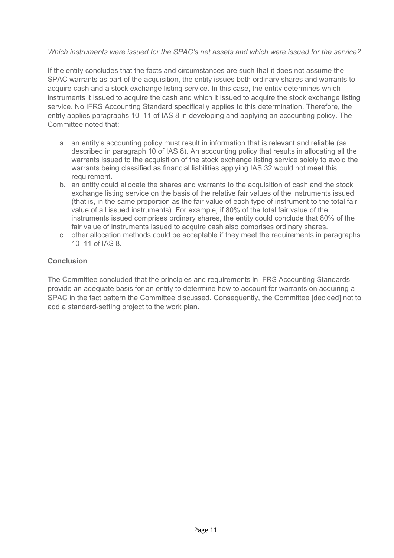#### *Which instruments were issued for the SPAC's net assets and which were issued for the service?*

If the entity concludes that the facts and circumstances are such that it does not assume the SPAC warrants as part of the acquisition, the entity issues both ordinary shares and warrants to acquire cash and a stock exchange listing service. In this case, the entity determines which instruments it issued to acquire the cash and which it issued to acquire the stock exchange listing service. No IFRS Accounting Standard specifically applies to this determination. Therefore, the entity applies paragraphs 10–11 of IAS 8 in developing and applying an accounting policy. The Committee noted that:

- a. an entity's accounting policy must result in information that is relevant and reliable (as described in paragraph 10 of IAS 8). An accounting policy that results in allocating all the warrants issued to the acquisition of the stock exchange listing service solely to avoid the warrants being classified as financial liabilities applying IAS 32 would not meet this requirement.
- b. an entity could allocate the shares and warrants to the acquisition of cash and the stock exchange listing service on the basis of the relative fair values of the instruments issued (that is, in the same proportion as the fair value of each type of instrument to the total fair value of all issued instruments). For example, if 80% of the total fair value of the instruments issued comprises ordinary shares, the entity could conclude that 80% of the fair value of instruments issued to acquire cash also comprises ordinary shares.
- c. other allocation methods could be acceptable if they meet the requirements in paragraphs 10–11 of IAS 8.

#### **Conclusion**

The Committee concluded that the principles and requirements in IFRS Accounting Standards provide an adequate basis for an entity to determine how to account for warrants on acquiring a SPAC in the fact pattern the Committee discussed. Consequently, the Committee [decided] not to add a standard-setting project to the work plan.